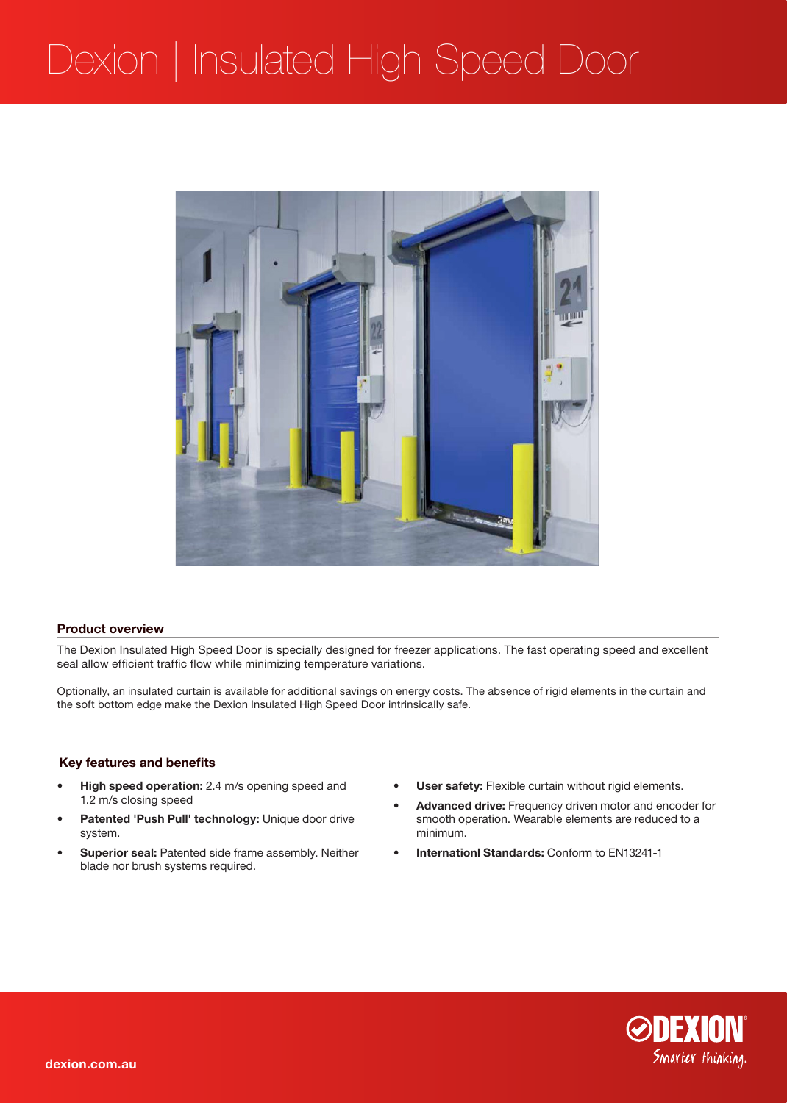# Dexion | Insulated High Speed Door



### **Product overview**

The Dexion Insulated High Speed Door is specially designed for freezer applications. The fast operating speed and excellent seal allow efficient traffic flow while minimizing temperature variations.

Optionally, an insulated curtain is available for additional savings on energy costs. The absence of rigid elements in the curtain and the soft bottom edge make the Dexion Insulated High Speed Door intrinsically safe.

## **Key features and benefits**

- **• High speed operation:** 2.4 m/s opening speed and 1.2 m/s closing speed
- Patented 'Push Pull' technology: Unique door drive system.
- **Superior seal: Patented side frame assembly. Neither** blade nor brush systems required.
- **• User safety:** Flexible curtain without rigid elements.
- **Advanced drive:** Frequency driven motor and encoder for smooth operation. Wearable elements are reduced to a minimum.
- **Internationl Standards: Conform to EN13241-1**